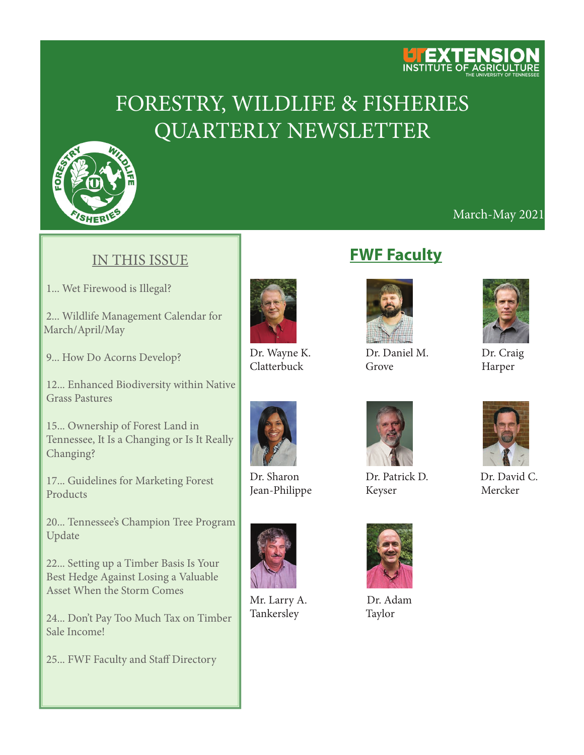

# FORESTRY, WILDLIFE & FISHERIES QUARTERLY NEWSLETTER



### March-May 2021

#### IN THIS ISSUE

1... Wet Firewood is Illegal?

 2... Wildlife Management Calendar for March/April/May

9... How Do Acorns Develop?

 12... Enhanced Biodiversity within Native Grass Pastures

 15... Ownership of Forest Land in Tennessee, It Is a Changing or Is It Really Changing?

 17... Guidelines for Marketing Forest Products

 20... Tennessee's Champion Tree Program Update

 22... Setting up a Timber Basis Is Your Best Hedge Against Losing a Valuable Asset When the Storm Comes

 24... Don't Pay Too Much Tax on Timber Sale Income!

25... FWF Faculty and Staff Directory







 Mr. Larry A. Dr. Adam Tankersley Taylor

# **FWF Faculty**



Dr. Wayne K. Dr. Daniel M. Dr. Craig Clatterbuck Grove Harper



Dr. Sharon Dr. Patrick D. Dr. David C. Jean-Philippe Keyser Mercker





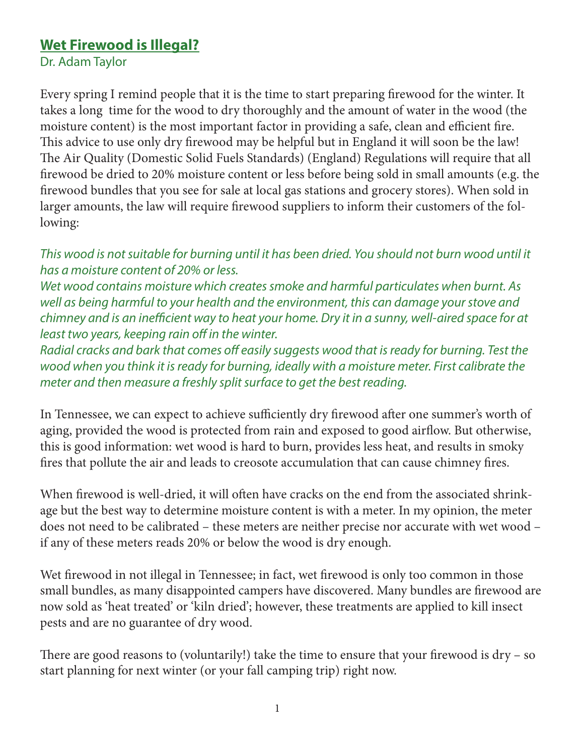## **Wet Firewood is Illegal?**

Dr. Adam Taylor

Every spring I remind people that it is the time to start preparing firewood for the winter. It takes a long time for the wood to dry thoroughly and the amount of water in the wood (the moisture content) is the most important factor in providing a safe, clean and efficient fire. This advice to use only dry firewood may be helpful but in England it will soon be the law! The Air Quality (Domestic Solid Fuels Standards) (England) Regulations will require that all firewood be dried to 20% moisture content or less before being sold in small amounts (e.g. the firewood bundles that you see for sale at local gas stations and grocery stores). When sold in larger amounts, the law will require firewood suppliers to inform their customers of the following:

*This wood is not suitable for burning until it has been dried. You should not burn wood until it has a moisture content of 20% or less.*

*Wet wood contains moisture which creates smoke and harmful particulates when burnt. As well as being harmful to your health and the environment, this can damage your stove and chimney and is an inefficient way to heat your home. Dry it in a sunny, well-aired space for at least two years, keeping rain off in the winter.*

*Radial cracks and bark that comes off easily suggests wood that is ready for burning. Test the wood when you think it is ready for burning, ideally with a moisture meter. First calibrate the meter and then measure a freshly split surface to get the best reading.*

In Tennessee, we can expect to achieve sufficiently dry firewood after one summer's worth of aging, provided the wood is protected from rain and exposed to good airflow. But otherwise, this is good information: wet wood is hard to burn, provides less heat, and results in smoky fires that pollute the air and leads to creosote accumulation that can cause chimney fires.

When firewood is well-dried, it will often have cracks on the end from the associated shrinkage but the best way to determine moisture content is with a meter. In my opinion, the meter does not need to be calibrated – these meters are neither precise nor accurate with wet wood – if any of these meters reads 20% or below the wood is dry enough.

Wet firewood in not illegal in Tennessee; in fact, wet firewood is only too common in those small bundles, as many disappointed campers have discovered. Many bundles are firewood are now sold as 'heat treated' or 'kiln dried'; however, these treatments are applied to kill insect pests and are no guarantee of dry wood.

There are good reasons to (voluntarily!) take the time to ensure that your firewood is dry – so start planning for next winter (or your fall camping trip) right now.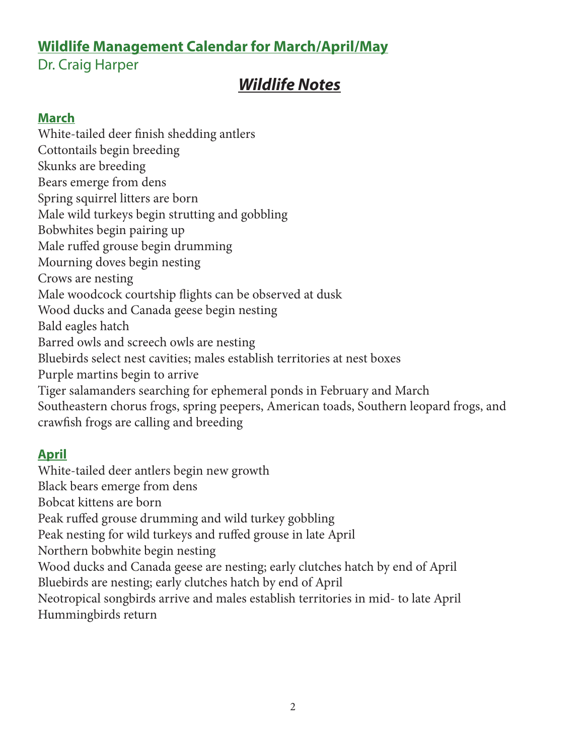# **Wildlife Management Calendar for March/April/May**

# Dr. Craig Harper

# *Wildlife Notes*

### **March**

White-tailed deer finish shedding antlers Cottontails begin breeding Skunks are breeding Bears emerge from dens Spring squirrel litters are born Male wild turkeys begin strutting and gobbling Bobwhites begin pairing up Male ruffed grouse begin drumming Mourning doves begin nesting Crows are nesting Male woodcock courtship flights can be observed at dusk Wood ducks and Canada geese begin nesting Bald eagles hatch Barred owls and screech owls are nesting Bluebirds select nest cavities; males establish territories at nest boxes Purple martins begin to arrive Tiger salamanders searching for ephemeral ponds in February and March Southeastern chorus frogs, spring peepers, American toads, Southern leopard frogs, and crawfish frogs are calling and breeding

### **April**

White-tailed deer antlers begin new growth Black bears emerge from dens Bobcat kittens are born Peak ruffed grouse drumming and wild turkey gobbling Peak nesting for wild turkeys and ruffed grouse in late April Northern bobwhite begin nesting Wood ducks and Canada geese are nesting; early clutches hatch by end of April Bluebirds are nesting; early clutches hatch by end of April Neotropical songbirds arrive and males establish territories in mid- to late April Hummingbirds return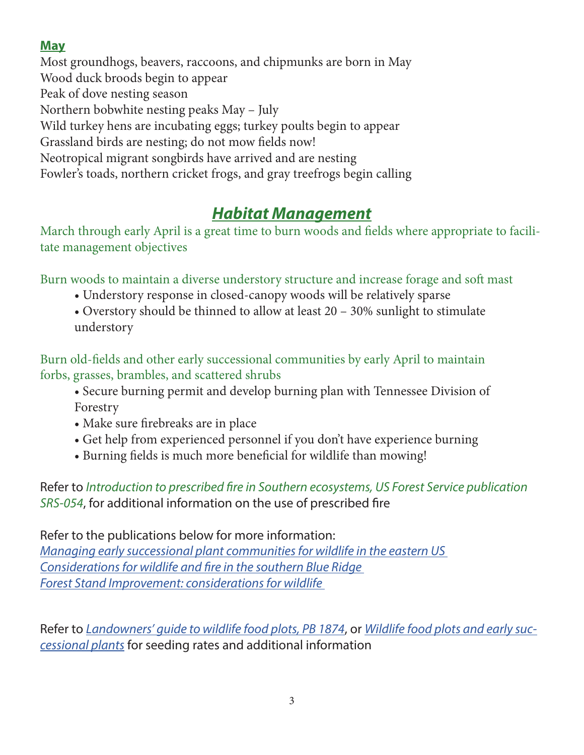# **May**

Most groundhogs, beavers, raccoons, and chipmunks are born in May Wood duck broods begin to appear Peak of dove nesting season Northern bobwhite nesting peaks May – July Wild turkey hens are incubating eggs; turkey poults begin to appear Grassland birds are nesting; do not mow fields now! Neotropical migrant songbirds have arrived and are nesting Fowler's toads, northern cricket frogs, and gray treefrogs begin calling

# *Habitat Management*

March through early April is a great time to burn woods and fields where appropriate to facilitate management objectives

Burn woods to maintain a diverse understory structure and increase forage and soft mast

- Understory response in closed-canopy woods will be relatively sparse
- Overstory should be thinned to allow at least 20 30% sunlight to stimulate understory

Burn old-fields and other early successional communities by early April to maintain forbs, grasses, brambles, and scattered shrubs

- Secure burning permit and develop burning plan with Tennessee Division of Forestry
- Make sure firebreaks are in place
- Get help from experienced personnel if you don't have experience burning
- Burning fields is much more beneficial for wildlife than mowing!

Refer to *Introduction to prescribed fire in Southern ecosystems, US Forest Service publication SRS-054*, for additional information on the use of prescribed fire

Refer to the publications below for more information: *[Managing early successional plant communities for wildlife in the eastern US](https://secure.touchnet.com/C21610_ustores/web/product_detail.jsp?PRODUCTID=1165)  [Considerations for wildlife and fire in the southern Blue Ridge](https://secure.touchnet.com/C21610_ustores/web/product_detail.jsp?PRODUCTID=1446)  [Forest Stand Improvement: considerations for wildlife](https://secure.touchnet.com/C21610_ustores/web/product_detail.jsp?PRODUCTID=2143&SINGLESTORE=true
)* 

Refer to *[Landowners' guide to wildlife food plots, PB 1874](https://secure.touchnet.com/C21610_ustores/web/product_detail.jsp?PRODUCTID=1747&SINGLESTORE=true  )*, or *[Wildlife food plots and early suc](https://nocsopublishing.com/)[cessional plants](https://nocsopublishing.com/)* for seeding rates and additional information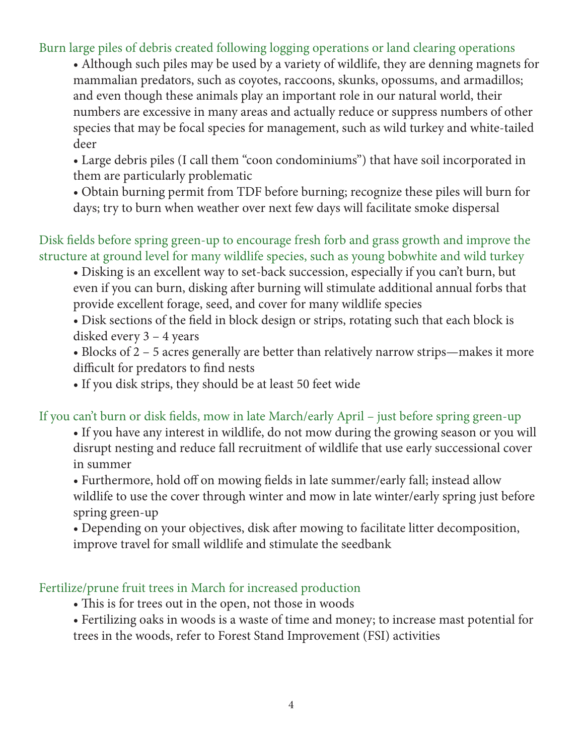Burn large piles of debris created following logging operations or land clearing operations

• Although such piles may be used by a variety of wildlife, they are denning magnets for mammalian predators, such as coyotes, raccoons, skunks, opossums, and armadillos; and even though these animals play an important role in our natural world, their numbers are excessive in many areas and actually reduce or suppress numbers of other species that may be focal species for management, such as wild turkey and white-tailed deer

• Large debris piles (I call them "coon condominiums") that have soil incorporated in them are particularly problematic

• Obtain burning permit from TDF before burning; recognize these piles will burn for days; try to burn when weather over next few days will facilitate smoke dispersal

Disk fields before spring green-up to encourage fresh forb and grass growth and improve the structure at ground level for many wildlife species, such as young bobwhite and wild turkey

• Disking is an excellent way to set-back succession, especially if you can't burn, but even if you can burn, disking after burning will stimulate additional annual forbs that provide excellent forage, seed, and cover for many wildlife species

• Disk sections of the field in block design or strips, rotating such that each block is disked every 3 – 4 years

• Blocks of 2 – 5 acres generally are better than relatively narrow strips—makes it more difficult for predators to find nests

• If you disk strips, they should be at least 50 feet wide

If you can't burn or disk fields, mow in late March/early April – just before spring green-up

• If you have any interest in wildlife, do not mow during the growing season or you will disrupt nesting and reduce fall recruitment of wildlife that use early successional cover in summer

• Furthermore, hold off on mowing fields in late summer/early fall; instead allow wildlife to use the cover through winter and mow in late winter/early spring just before spring green-up

• Depending on your objectives, disk after mowing to facilitate litter decomposition, improve travel for small wildlife and stimulate the seedbank

#### Fertilize/prune fruit trees in March for increased production

• This is for trees out in the open, not those in woods

• Fertilizing oaks in woods is a waste of time and money; to increase mast potential for trees in the woods, refer to Forest Stand Improvement (FSI) activities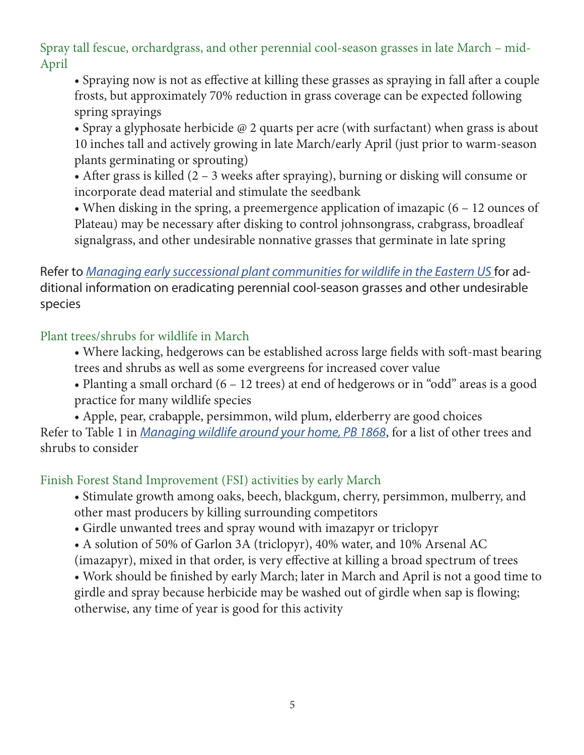Spray tall fescue, orchardgrass, and other perennial cool-season grasses in late March – mid-April

• Spraying now is not as effective at killing these grasses as spraying in fall after a couple frosts, but approximately 70% reduction in grass coverage can be expected following spring sprayings

• Spray a glyphosate herbicide @ 2 quarts per acre (with surfactant) when grass is about 10 inches tall and actively growing in late March/early April (just prior to warm-season plants germinating or sprouting)

• After grass is killed (2 – 3 weeks after spraying), burning or disking will consume or incorporate dead material and stimulate the seedbank

• When disking in the spring, a preemergence application of imazapic (6 – 12 ounces of Plateau) may be necessary after disking to control johnsongrass, crabgrass, broadleaf signalgrass, and other undesirable nonnative grasses that germinate in late spring

Refer to *[Managing early successional plant communities for wildlife in the Eastern US](https://secure.touchnet.com/C21610_ustores/web/product_detail.jsp?PRODUCTID=1165)* for additional information on eradicating perennial cool-season grasses and other undesirable species

Plant trees/shrubs for wildlife in March

- Where lacking, hedgerows can be established across large fields with soft-mast bearing trees and shrubs as well as some evergreens for increased cover value
- Planting a small orchard (6 12 trees) at end of hedgerows or in "odd" areas is a good practice for many wildlife species

• Apple, pear, crabapple, persimmon, wild plum, elderberry are good choices Refer to Table 1 in *[Managing wildlife around your home, PB 1868](https://secure.touchnet.com/C21610_ustores/web/product_detail.jsp?PRODUCTID=1430)*, for a list of other trees and shrubs to consider

Finish Forest Stand Improvement (FSI) activities by early March

- Stimulate growth among oaks, beech, blackgum, cherry, persimmon, mulberry, and other mast producers by killing surrounding competitors
- Girdle unwanted trees and spray wound with imazapyr or triclopyr
- A solution of 50% of Garlon 3A (triclopyr), 40% water, and 10% Arsenal AC

(imazapyr), mixed in that order, is very effective at killing a broad spectrum of trees

• Work should be finished by early March; later in March and April is not a good time to girdle and spray because herbicide may be washed out of girdle when sap is flowing; otherwise, any time of year is good for this activity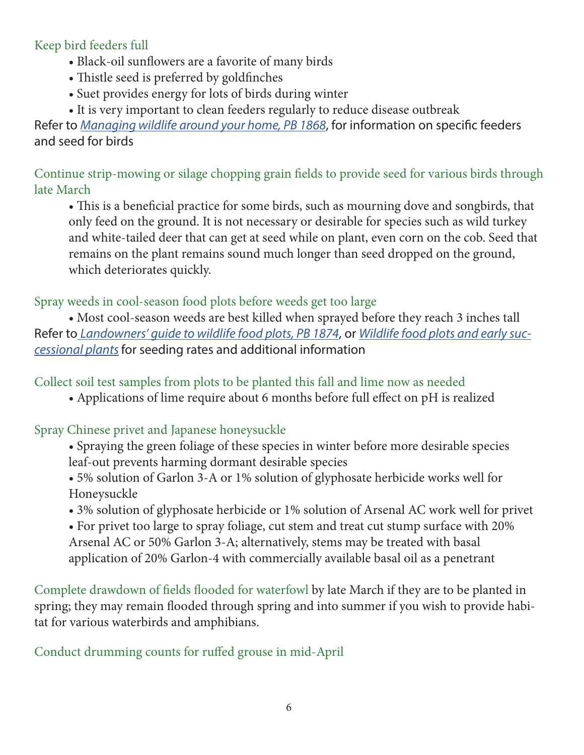#### Keep bird feeders full

- Black-oil sunflowers are a favorite of many birds
- Thistle seed is preferred by goldfinches
- Suet provides energy for lots of birds during winter
- It is very important to clean feeders regularly to reduce disease outbreak

Refer to *[Managing wildlife around your home, PB 1868](https://secure.touchnet.com/C21610_ustores/web/product_detail.jsp?PRODUCTID=1430)*, for information on specific feeders and seed for birds

Continue strip-mowing or silage chopping grain fields to provide seed for various birds through late March

• This is a beneficial practice for some birds, such as mourning dove and songbirds, that only feed on the ground. It is not necessary or desirable for species such as wild turkey and white-tailed deer that can get at seed while on plant, even corn on the cob. Seed that remains on the plant remains sound much longer than seed dropped on the ground, which deteriorates quickly.

Spray weeds in cool-season food plots before weeds get too large

• Most cool-season weeds are best killed when sprayed before they reach 3 inches tall Refer to *[Landowners' guide to wildlife food plots, PB 1874](https://secure.touchnet.com/C21610_ustores/web/product_detail.jsp?PRODUCTID=1747&SINGLESTORE=true  )*, or *[Wildlife food plots and early suc](https://nocsopublishing.com/ )[cessional plants](https://nocsopublishing.com/ )*for seeding rates and additional information

Collect soil test samples from plots to be planted this fall and lime now as needed

• Applications of lime require about 6 months before full effect on pH is realized

### Spray Chinese privet and Japanese honeysuckle

- Spraying the green foliage of these species in winter before more desirable species leaf-out prevents harming dormant desirable species
- 5% solution of Garlon 3-A or 1% solution of glyphosate herbicide works well for Honeysuckle
- 3% solution of glyphosate herbicide or 1% solution of Arsenal AC work well for privet
- For privet too large to spray foliage, cut stem and treat cut stump surface with 20% Arsenal AC or 50% Garlon 3-A; alternatively, stems may be treated with basal application of 20% Garlon-4 with commercially available basal oil as a penetrant

Complete drawdown of fields flooded for waterfowl by late March if they are to be planted in spring; they may remain flooded through spring and into summer if you wish to provide habitat for various waterbirds and amphibians.

Conduct drumming counts for ruffed grouse in mid-April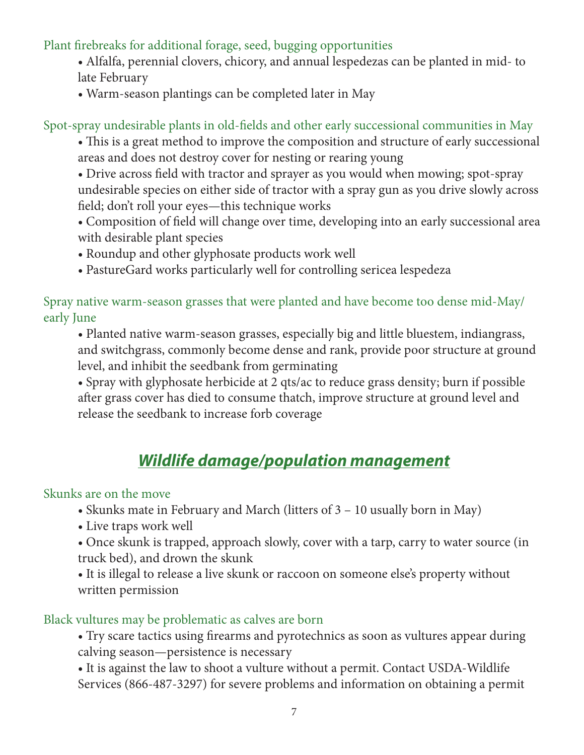Plant firebreaks for additional forage, seed, bugging opportunities

- Alfalfa, perennial clovers, chicory, and annual lespedezas can be planted in mid- to late February
- Warm-season plantings can be completed later in May

Spot-spray undesirable plants in old-fields and other early successional communities in May

- This is a great method to improve the composition and structure of early successional areas and does not destroy cover for nesting or rearing young
- Drive across field with tractor and sprayer as you would when mowing; spot-spray undesirable species on either side of tractor with a spray gun as you drive slowly across field; don't roll your eyes—this technique works
- Composition of field will change over time, developing into an early successional area with desirable plant species
- Roundup and other glyphosate products work well
- PastureGard works particularly well for controlling sericea lespedeza

Spray native warm-season grasses that were planted and have become too dense mid-May/ early June

• Planted native warm-season grasses, especially big and little bluestem, indiangrass, and switchgrass, commonly become dense and rank, provide poor structure at ground level, and inhibit the seedbank from germinating

• Spray with glyphosate herbicide at 2 qts/ac to reduce grass density; burn if possible after grass cover has died to consume thatch, improve structure at ground level and release the seedbank to increase forb coverage

# *Wildlife damage/population management*

### Skunks are on the move

- Skunks mate in February and March (litters of 3 10 usually born in May)
- Live traps work well
- Once skunk is trapped, approach slowly, cover with a tarp, carry to water source (in truck bed), and drown the skunk
- It is illegal to release a live skunk or raccoon on someone else's property without written permission

### Black vultures may be problematic as calves are born

- Try scare tactics using firearms and pyrotechnics as soon as vultures appear during calving season—persistence is necessary
- It is against the law to shoot a vulture without a permit. Contact USDA-Wildlife Services (866-487-3297) for severe problems and information on obtaining a permit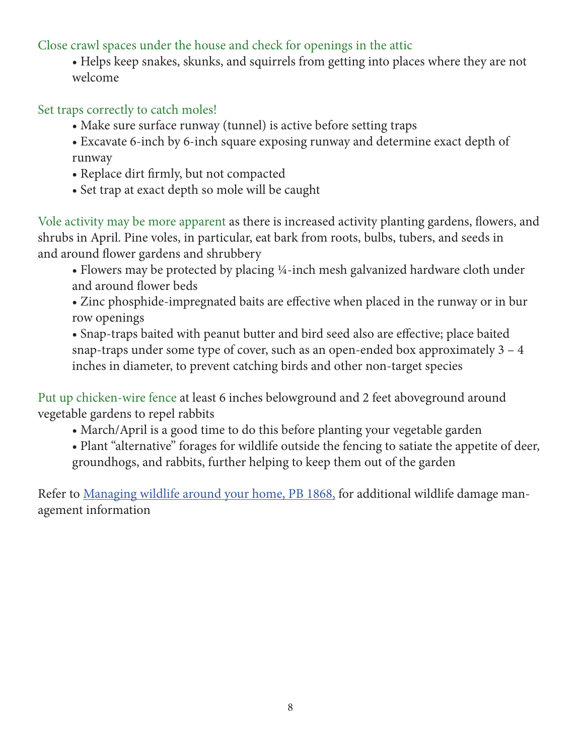Close crawl spaces under the house and check for openings in the attic

• Helps keep snakes, skunks, and squirrels from getting into places where they are not welcome

Set traps correctly to catch moles!

- Make sure surface runway (tunnel) is active before setting traps
- Excavate 6-inch by 6-inch square exposing runway and determine exact depth of runway
- Replace dirt firmly, but not compacted
- Set trap at exact depth so mole will be caught

Vole activity may be more apparent as there is increased activity planting gardens, flowers, and shrubs in April. Pine voles, in particular, eat bark from roots, bulbs, tubers, and seeds in and around flower gardens and shrubbery

- Flowers may be protected by placing ¼-inch mesh galvanized hardware cloth under and around flower beds
- Zinc phosphide-impregnated baits are effective when placed in the runway or in bur row openings

• Snap-traps baited with peanut butter and bird seed also are effective; place baited snap-traps under some type of cover, such as an open-ended box approximately 3 – 4 inches in diameter, to prevent catching birds and other non-target species

Put up chicken-wire fence at least 6 inches belowground and 2 feet aboveground around vegetable gardens to repel rabbits

- March/April is a good time to do this before planting your vegetable garden
- Plant "alternative" forages for wildlife outside the fencing to satiate the appetite of deer, groundhogs, and rabbits, further helping to keep them out of the garden

Refer to [Managing wildlife around your home, PB 1868](https://secure.touchnet.com/C21610_ustores/web/product_detail.jsp?PRODUCTID=1430), for additional wildlife damage management information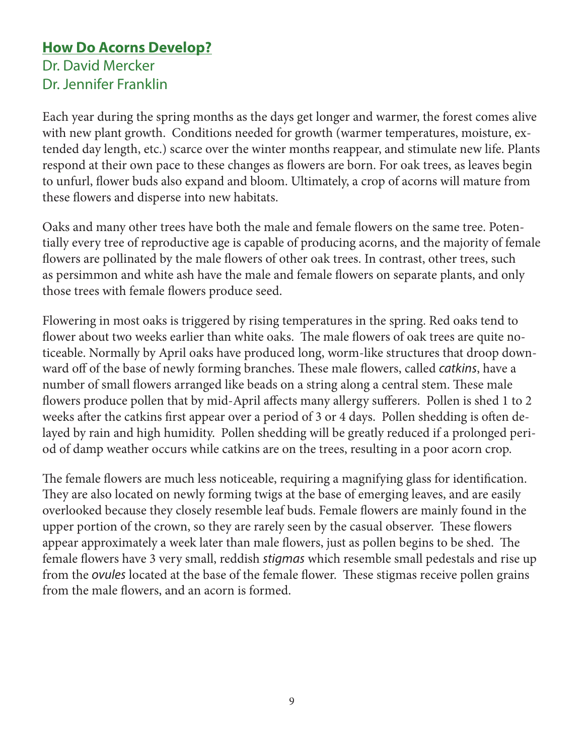# **How Do Acorns Develop?** Dr. David Mercker Dr. Jennifer Franklin

Each year during the spring months as the days get longer and warmer, the forest comes alive with new plant growth. Conditions needed for growth (warmer temperatures, moisture, extended day length, etc.) scarce over the winter months reappear, and stimulate new life. Plants respond at their own pace to these changes as flowers are born. For oak trees, as leaves begin to unfurl, flower buds also expand and bloom. Ultimately, a crop of acorns will mature from these flowers and disperse into new habitats.

Oaks and many other trees have both the male and female flowers on the same tree. Potentially every tree of reproductive age is capable of producing acorns, and the majority of female flowers are pollinated by the male flowers of other oak trees. In contrast, other trees, such as persimmon and white ash have the male and female flowers on separate plants, and only those trees with female flowers produce seed.

Flowering in most oaks is triggered by rising temperatures in the spring. Red oaks tend to flower about two weeks earlier than white oaks. The male flowers of oak trees are quite noticeable. Normally by April oaks have produced long, worm-like structures that droop downward off of the base of newly forming branches. These male flowers, called *catkins*, have a number of small flowers arranged like beads on a string along a central stem. These male flowers produce pollen that by mid-April affects many allergy sufferers. Pollen is shed 1 to 2 weeks after the catkins first appear over a period of 3 or 4 days. Pollen shedding is often delayed by rain and high humidity. Pollen shedding will be greatly reduced if a prolonged period of damp weather occurs while catkins are on the trees, resulting in a poor acorn crop.

The female flowers are much less noticeable, requiring a magnifying glass for identification. They are also located on newly forming twigs at the base of emerging leaves, and are easily overlooked because they closely resemble leaf buds. Female flowers are mainly found in the upper portion of the crown, so they are rarely seen by the casual observer. These flowers appear approximately a week later than male flowers, just as pollen begins to be shed. The female flowers have 3 very small, reddish *stigmas* which resemble small pedestals and rise up from the *ovules* located at the base of the female flower. These stigmas receive pollen grains from the male flowers, and an acorn is formed.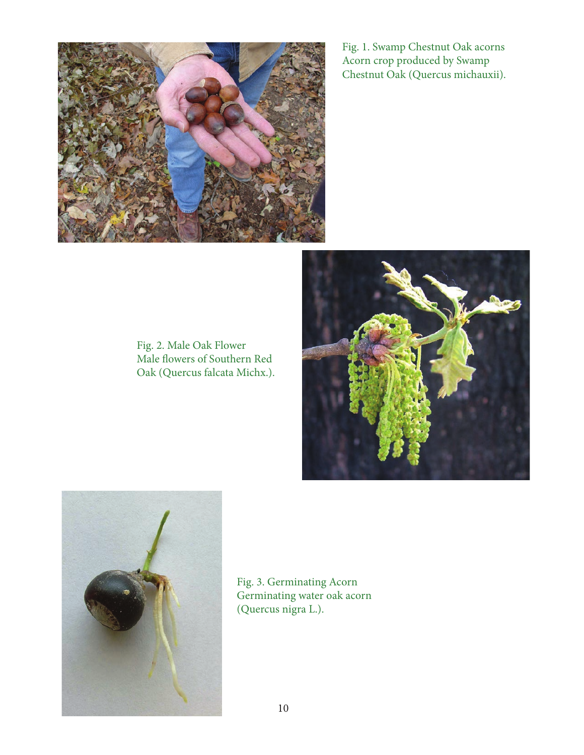

Fig. 1. Swamp Chestnut Oak acorns Acorn crop produced by Swamp Chestnut Oak (Quercus michauxii).

Fig. 2. Male Oak Flower Male flowers of Southern Red Oak (Quercus falcata Michx.).





Fig. 3. Germinating Acorn Germinating water oak acorn (Quercus nigra L.).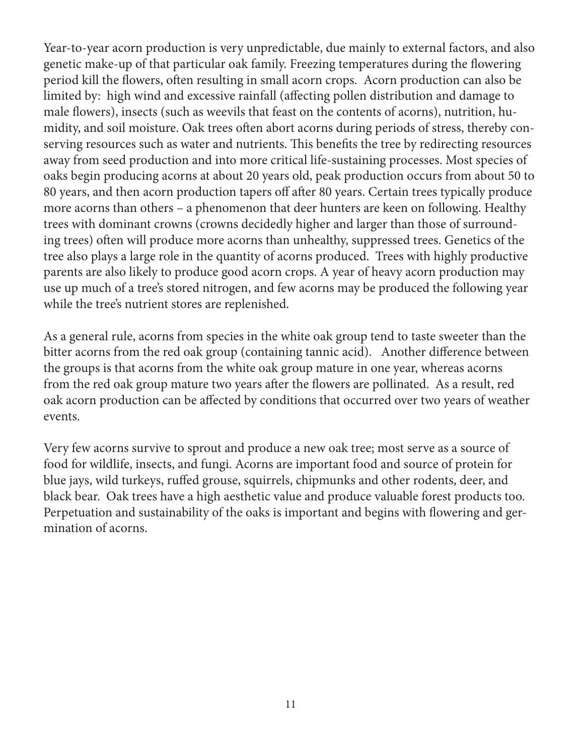Year-to-year acorn production is very unpredictable, due mainly to external factors, and also genetic make-up of that particular oak family. Freezing temperatures during the flowering period kill the flowers, often resulting in small acorn crops. Acorn production can also be limited by: high wind and excessive rainfall (affecting pollen distribution and damage to male flowers), insects (such as weevils that feast on the contents of acorns), nutrition, humidity, and soil moisture. Oak trees often abort acorns during periods of stress, thereby conserving resources such as water and nutrients. This benefits the tree by redirecting resources away from seed production and into more critical life-sustaining processes. Most species of oaks begin producing acorns at about 20 years old, peak production occurs from about 50 to 80 years, and then acorn production tapers off after 80 years. Certain trees typically produce more acorns than others – a phenomenon that deer hunters are keen on following. Healthy trees with dominant crowns (crowns decidedly higher and larger than those of surrounding trees) often will produce more acorns than unhealthy, suppressed trees. Genetics of the tree also plays a large role in the quantity of acorns produced. Trees with highly productive parents are also likely to produce good acorn crops. A year of heavy acorn production may use up much of a tree's stored nitrogen, and few acorns may be produced the following year while the tree's nutrient stores are replenished.

As a general rule, acorns from species in the white oak group tend to taste sweeter than the bitter acorns from the red oak group (containing tannic acid). Another difference between the groups is that acorns from the white oak group mature in one year, whereas acorns from the red oak group mature two years after the flowers are pollinated. As a result, red oak acorn production can be affected by conditions that occurred over two years of weather events.

Very few acorns survive to sprout and produce a new oak tree; most serve as a source of food for wildlife, insects, and fungi. Acorns are important food and source of protein for blue jays, wild turkeys, ruffed grouse, squirrels, chipmunks and other rodents, deer, and black bear. Oak trees have a high aesthetic value and produce valuable forest products too. Perpetuation and sustainability of the oaks is important and begins with flowering and germination of acorns.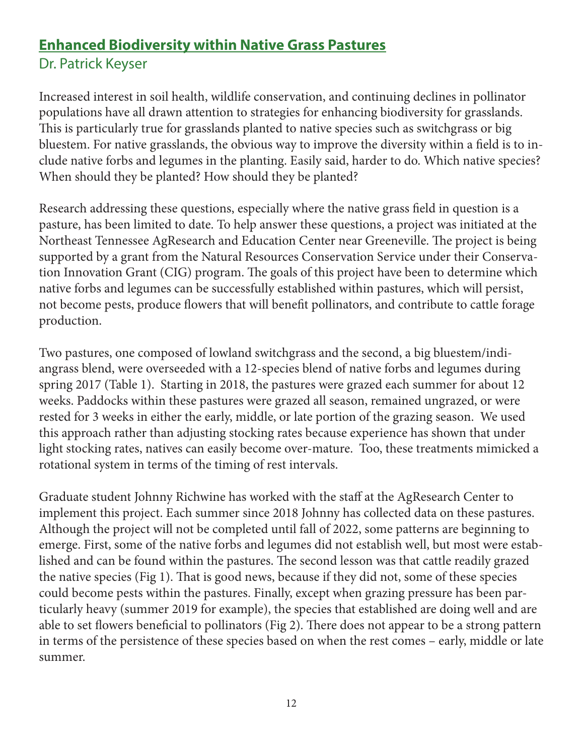# **Enhanced Biodiversity within Native Grass Pastures** Dr. Patrick Keyser

Increased interest in soil health, wildlife conservation, and continuing declines in pollinator populations have all drawn attention to strategies for enhancing biodiversity for grasslands. This is particularly true for grasslands planted to native species such as switchgrass or big bluestem. For native grasslands, the obvious way to improve the diversity within a field is to include native forbs and legumes in the planting. Easily said, harder to do. Which native species? When should they be planted? How should they be planted?

Research addressing these questions, especially where the native grass field in question is a pasture, has been limited to date. To help answer these questions, a project was initiated at the Northeast Tennessee AgResearch and Education Center near Greeneville. The project is being supported by a grant from the Natural Resources Conservation Service under their Conservation Innovation Grant (CIG) program. The goals of this project have been to determine which native forbs and legumes can be successfully established within pastures, which will persist, not become pests, produce flowers that will benefit pollinators, and contribute to cattle forage production.

Two pastures, one composed of lowland switchgrass and the second, a big bluestem/indiangrass blend, were overseeded with a 12-species blend of native forbs and legumes during spring 2017 (Table 1). Starting in 2018, the pastures were grazed each summer for about 12 weeks. Paddocks within these pastures were grazed all season, remained ungrazed, or were rested for 3 weeks in either the early, middle, or late portion of the grazing season. We used this approach rather than adjusting stocking rates because experience has shown that under light stocking rates, natives can easily become over-mature. Too, these treatments mimicked a rotational system in terms of the timing of rest intervals.

Graduate student Johnny Richwine has worked with the staff at the AgResearch Center to implement this project. Each summer since 2018 Johnny has collected data on these pastures. Although the project will not be completed until fall of 2022, some patterns are beginning to emerge. First, some of the native forbs and legumes did not establish well, but most were established and can be found within the pastures. The second lesson was that cattle readily grazed the native species (Fig 1). That is good news, because if they did not, some of these species could become pests within the pastures. Finally, except when grazing pressure has been particularly heavy (summer 2019 for example), the species that established are doing well and are able to set flowers beneficial to pollinators (Fig 2). There does not appear to be a strong pattern in terms of the persistence of these species based on when the rest comes – early, middle or late summer.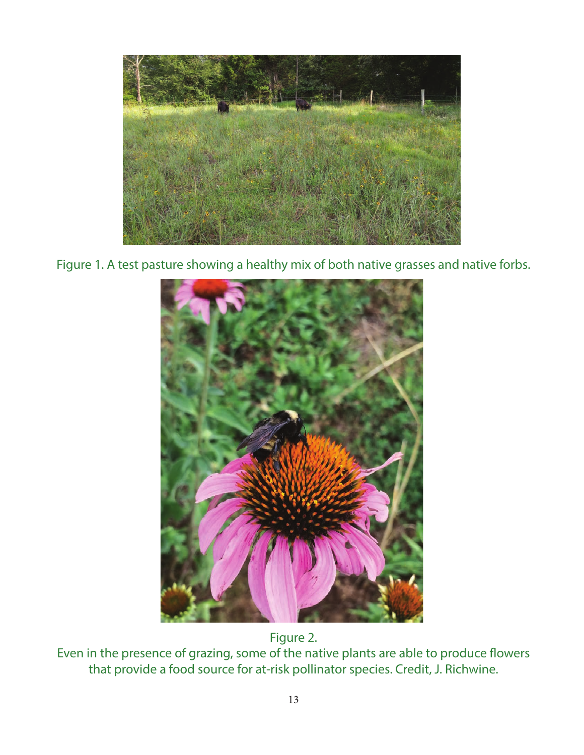

Figure 1. A test pasture showing a healthy mix of both native grasses and native forbs.



Figure 2.

Even in the presence of grazing, some of the native plants are able to produce flowers that provide a food source for at-risk pollinator species. Credit, J. Richwine.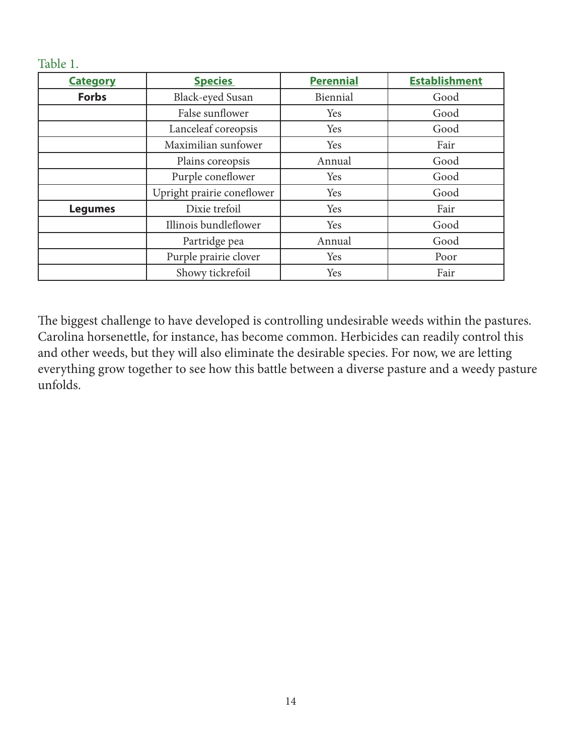#### Table 1.

| <b>Category</b> | <b>Species</b>             | <b>Perennial</b> | <b>Establishment</b> |
|-----------------|----------------------------|------------------|----------------------|
| <b>Forbs</b>    | Black-eyed Susan           | Biennial         | Good                 |
|                 | False sunflower            | Yes              | Good                 |
|                 | Lanceleaf coreopsis        | Yes              | Good                 |
|                 | Maximilian sunfower        | Yes              | Fair                 |
|                 | Plains coreopsis           | Annual           | Good                 |
|                 | Purple coneflower          | Yes              | Good                 |
|                 | Upright prairie coneflower | Yes              | Good                 |
| <b>Legumes</b>  | Dixie trefoil              | Yes              | Fair                 |
|                 | Illinois bundleflower      | Yes              | Good                 |
|                 | Partridge pea              | Annual           | Good                 |
|                 | Purple prairie clover      | Yes              | Poor                 |
|                 | Showy tickrefoil           | Yes              | Fair                 |

The biggest challenge to have developed is controlling undesirable weeds within the pastures. Carolina horsenettle, for instance, has become common. Herbicides can readily control this and other weeds, but they will also eliminate the desirable species. For now, we are letting everything grow together to see how this battle between a diverse pasture and a weedy pasture unfolds.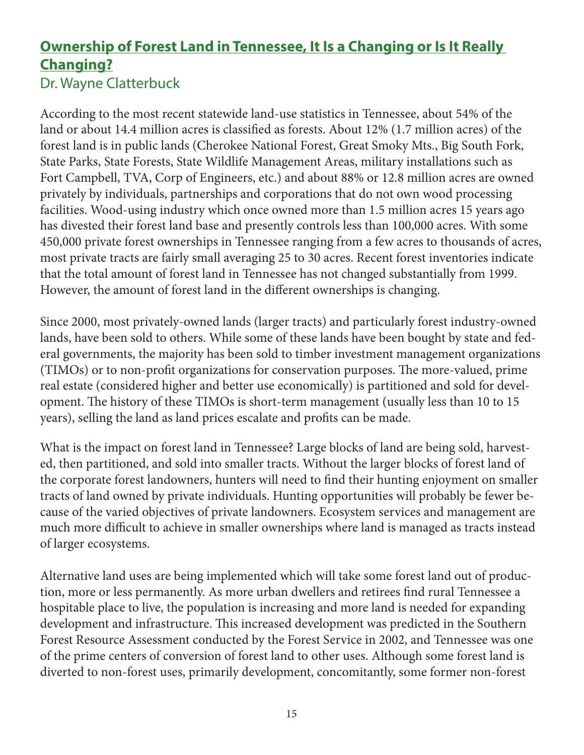# **Ownership of Forest Land in Tennessee, It Is a Changing or Is It Really Changing?** Dr. Wayne Clatterbuck

According to the most recent statewide land-use statistics in Tennessee, about 54% of the land or about 14.4 million acres is classified as forests. About 12% (1.7 million acres) of the forest land is in public lands (Cherokee National Forest, Great Smoky Mts., Big South Fork, State Parks, State Forests, State Wildlife Management Areas, military installations such as Fort Campbell, TVA, Corp of Engineers, etc.) and about 88% or 12.8 million acres are owned privately by individuals, partnerships and corporations that do not own wood processing facilities. Wood-using industry which once owned more than 1.5 million acres 15 years ago has divested their forest land base and presently controls less than 100,000 acres. With some 450,000 private forest ownerships in Tennessee ranging from a few acres to thousands of acres, most private tracts are fairly small averaging 25 to 30 acres. Recent forest inventories indicate that the total amount of forest land in Tennessee has not changed substantially from 1999. However, the amount of forest land in the different ownerships is changing.

Since 2000, most privately-owned lands (larger tracts) and particularly forest industry-owned lands, have been sold to others. While some of these lands have been bought by state and federal governments, the majority has been sold to timber investment management organizations (TIMOs) or to non-profit organizations for conservation purposes. The more-valued, prime real estate (considered higher and better use economically) is partitioned and sold for development. The history of these TIMOs is short-term management (usually less than 10 to 15 years), selling the land as land prices escalate and profits can be made.

What is the impact on forest land in Tennessee? Large blocks of land are being sold, harvested, then partitioned, and sold into smaller tracts. Without the larger blocks of forest land of the corporate forest landowners, hunters will need to find their hunting enjoyment on smaller tracts of land owned by private individuals. Hunting opportunities will probably be fewer because of the varied objectives of private landowners. Ecosystem services and management are much more difficult to achieve in smaller ownerships where land is managed as tracts instead of larger ecosystems.

Alternative land uses are being implemented which will take some forest land out of production, more or less permanently. As more urban dwellers and retirees find rural Tennessee a hospitable place to live, the population is increasing and more land is needed for expanding development and infrastructure. This increased development was predicted in the Southern Forest Resource Assessment conducted by the Forest Service in 2002, and Tennessee was one of the prime centers of conversion of forest land to other uses. Although some forest land is diverted to non-forest uses, primarily development, concomitantly, some former non-forest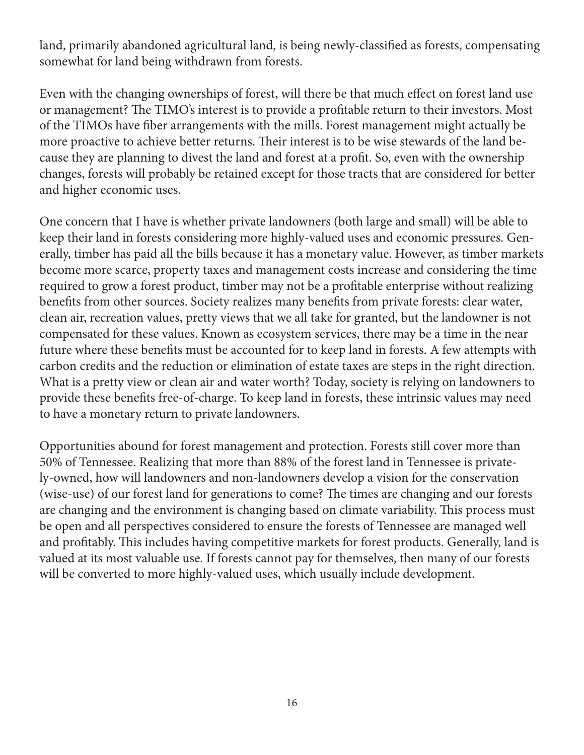land, primarily abandoned agricultural land, is being newly-classified as forests, compensating somewhat for land being withdrawn from forests.

Even with the changing ownerships of forest, will there be that much effect on forest land use or management? The TIMO's interest is to provide a profitable return to their investors. Most of the TIMOs have fiber arrangements with the mills. Forest management might actually be more proactive to achieve better returns. Their interest is to be wise stewards of the land because they are planning to divest the land and forest at a profit. So, even with the ownership changes, forests will probably be retained except for those tracts that are considered for better and higher economic uses.

One concern that I have is whether private landowners (both large and small) will be able to keep their land in forests considering more highly-valued uses and economic pressures. Generally, timber has paid all the bills because it has a monetary value. However, as timber markets become more scarce, property taxes and management costs increase and considering the time required to grow a forest product, timber may not be a profitable enterprise without realizing benefits from other sources. Society realizes many benefits from private forests: clear water, clean air, recreation values, pretty views that we all take for granted, but the landowner is not compensated for these values. Known as ecosystem services, there may be a time in the near future where these benefits must be accounted for to keep land in forests. A few attempts with carbon credits and the reduction or elimination of estate taxes are steps in the right direction. What is a pretty view or clean air and water worth? Today, society is relying on landowners to provide these benefits free-of-charge. To keep land in forests, these intrinsic values may need to have a monetary return to private landowners.

Opportunities abound for forest management and protection. Forests still cover more than 50% of Tennessee. Realizing that more than 88% of the forest land in Tennessee is privately-owned, how will landowners and non-landowners develop a vision for the conservation (wise-use) of our forest land for generations to come? The times are changing and our forests are changing and the environment is changing based on climate variability. This process must be open and all perspectives considered to ensure the forests of Tennessee are managed well and profitably. This includes having competitive markets for forest products. Generally, land is valued at its most valuable use. If forests cannot pay for themselves, then many of our forests will be converted to more highly-valued uses, which usually include development.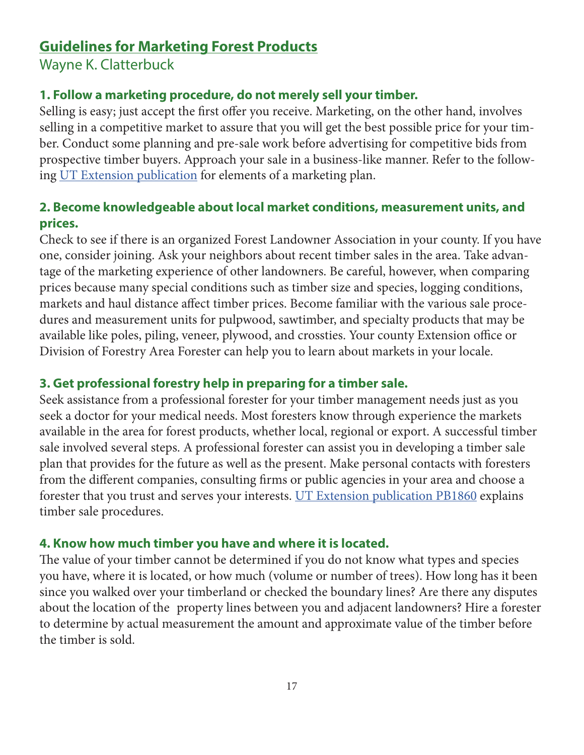# **Guidelines for Marketing Forest Products**

Wayne K. Clatterbuck

#### **1. Follow a marketing procedure, do not merely sell your timber.**

Selling is easy; just accept the first offer you receive. Marketing, on the other hand, involves selling in a competitive market to assure that you will get the best possible price for your timber. Conduct some planning and pre-sale work before advertising for competitive bids from prospective timber buyers. Approach your sale in a business-like manner. Refer to the following [UT Extension publication](https://extension.tennessee.edu/publications/Documents/PB1790.pdf) for elements of a marketing plan[.](https://extension.tennessee.edu/publications/Documents/PB1790.pdf )

#### **2. Become knowledgeable about local market conditions, measurement units, and prices.**

Check to see if there is an organized Forest Landowner Association in your county. If you have one, consider joining. Ask your neighbors about recent timber sales in the area. Take advantage of the marketing experience of other landowners. Be careful, however, when comparing prices because many special conditions such as timber size and species, logging conditions, markets and haul distance affect timber prices. Become familiar with the various sale procedures and measurement units for pulpwood, sawtimber, and specialty products that may be available like poles, piling, veneer, plywood, and crossties. Your county Extension office or Division of Forestry Area Forester can help you to learn about markets in your locale.

#### **3. Get professional forestry help in preparing for a timber sale.**

Seek assistance from a professional forester for your timber management needs just as you seek a doctor for your medical needs. Most foresters know through experience the markets available in the area for forest products, whether local, regional or export. A successful timber sale involved several steps. A professional forester can assist you in developing a timber sale plan that provides for the future as well as the present. Make personal contacts with foresters from the different companies, consulting firms or public agencies in your area and choose a forester that you trust and serves your interests. [UT Extension publication PB1860](https://extension.tennessee.edu/publications/Documents/PB1860.pdf) explains timber sale procedures.

#### **4. Know how much timber you have and where it is located.**

The value of your timber cannot be determined if you do not know what types and species you have, where it is located, or how much (volume or number of trees). How long has it been since you walked over your timberland or checked the boundary lines? Are there any disputes about the location of the property lines between you and adjacent landowners? Hire a forester to determine by actual measurement the amount and approximate value of the timber before the timber is sold.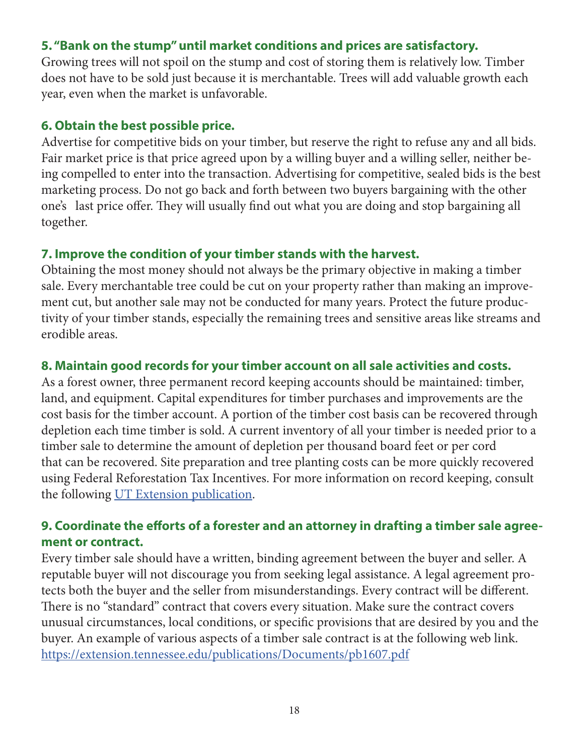#### **5. "Bank on the stump" until market conditions and prices are satisfactory.**

Growing trees will not spoil on the stump and cost of storing them is relatively low. Timber does not have to be sold just because it is merchantable. Trees will add valuable growth each year, even when the market is unfavorable.

#### **6. Obtain the best possible price.**

Advertise for competitive bids on your timber, but reserve the right to refuse any and all bids. Fair market price is that price agreed upon by a willing buyer and a willing seller, neither being compelled to enter into the transaction. Advertising for competitive, sealed bids is the best marketing process. Do not go back and forth between two buyers bargaining with the other one's last price offer. They will usually find out what you are doing and stop bargaining all together.

#### **7. Improve the condition of your timber stands with the harvest.**

Obtaining the most money should not always be the primary objective in making a timber sale. Every merchantable tree could be cut on your property rather than making an improvement cut, but another sale may not be conducted for many years. Protect the future productivity of your timber stands, especially the remaining trees and sensitive areas like streams and erodible areas.

#### **8. Maintain good records for your timber account on all sale activities and costs.**

As a forest owner, three permanent record keeping accounts should be maintained: timber, land, and equipment. Capital expenditures for timber purchases and improvements are the cost basis for the timber account. A portion of the timber cost basis can be recovered through depletion each time timber is sold. A current inventory of all your timber is needed prior to a timber sale to determine the amount of depletion per thousand board feet or per cord that can be recovered. Site preparation and tree planting costs can be more quickly recovered using Federal Reforestation Tax Incentives. For more information on record keeping, consult the following [UT Extension publication](https://extension.tennessee.edu/publications/Documents/PB1691.pdf).

### **9. Coordinate the efforts of a forester and an attorney in drafting a timber sale agreement or contract.**

Every timber sale should have a written, binding agreement between the buyer and seller. A reputable buyer will not discourage you from seeking legal assistance. A legal agreement protects both the buyer and the seller from misunderstandings. Every contract will be different. There is no "standard" contract that covers every situation. Make sure the contract covers unusual circumstances, local conditions, or specific provisions that are desired by you and the buyer. An example of various aspects of a timber sale contract is at the following web link. <https://extension.tennessee.edu/publications/Documents/pb1607.pdf>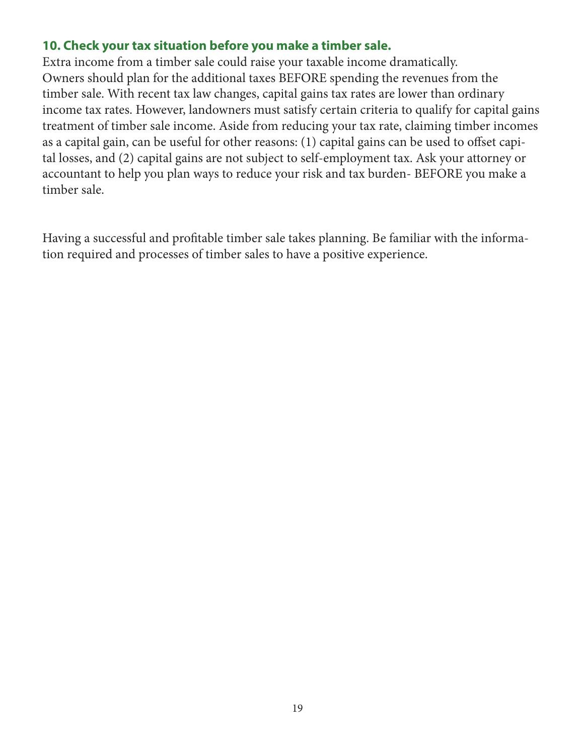#### **10. Check your tax situation before you make a timber sale.**

Extra income from a timber sale could raise your taxable income dramatically. Owners should plan for the additional taxes BEFORE spending the revenues from the timber sale. With recent tax law changes, capital gains tax rates are lower than ordinary income tax rates. However, landowners must satisfy certain criteria to qualify for capital gains treatment of timber sale income. Aside from reducing your tax rate, claiming timber incomes as a capital gain, can be useful for other reasons: (1) capital gains can be used to offset capital losses, and (2) capital gains are not subject to self-employment tax. Ask your attorney or accountant to help you plan ways to reduce your risk and tax burden- BEFORE you make a timber sale.

Having a successful and profitable timber sale takes planning. Be familiar with the information required and processes of timber sales to have a positive experience.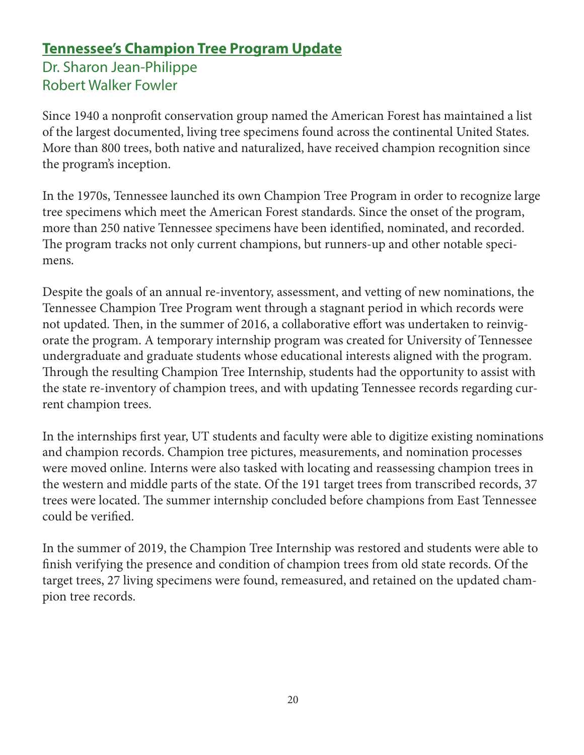# **Tennessee's Champion Tree Program Update**

Dr. Sharon Jean-Philippe Robert Walker Fowler

Since 1940 a nonprofit conservation group named the American Forest has maintained a list of the largest documented, living tree specimens found across the continental United States. More than 800 trees, both native and naturalized, have received champion recognition since the program's inception.

In the 1970s, Tennessee launched its own Champion Tree Program in order to recognize large tree specimens which meet the American Forest standards. Since the onset of the program, more than 250 native Tennessee specimens have been identified, nominated, and recorded. The program tracks not only current champions, but runners-up and other notable specimens.

Despite the goals of an annual re-inventory, assessment, and vetting of new nominations, the Tennessee Champion Tree Program went through a stagnant period in which records were not updated. Then, in the summer of 2016, a collaborative effort was undertaken to reinvigorate the program. A temporary internship program was created for University of Tennessee undergraduate and graduate students whose educational interests aligned with the program. Through the resulting Champion Tree Internship, students had the opportunity to assist with the state re-inventory of champion trees, and with updating Tennessee records regarding current champion trees.

In the internships first year, UT students and faculty were able to digitize existing nominations and champion records. Champion tree pictures, measurements, and nomination processes were moved online. Interns were also tasked with locating and reassessing champion trees in the western and middle parts of the state. Of the 191 target trees from transcribed records, 37 trees were located. The summer internship concluded before champions from East Tennessee could be verified.

In the summer of 2019, the Champion Tree Internship was restored and students were able to finish verifying the presence and condition of champion trees from old state records. Of the target trees, 27 living specimens were found, remeasured, and retained on the updated champion tree records.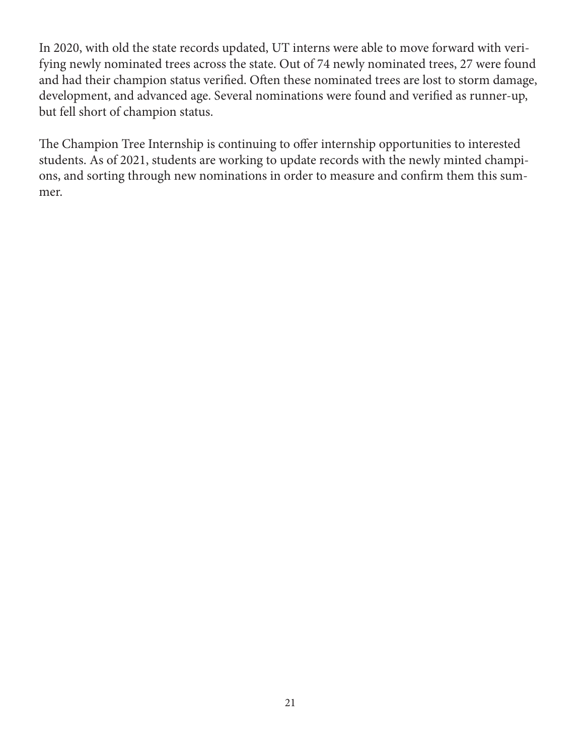In 2020, with old the state records updated, UT interns were able to move forward with verifying newly nominated trees across the state. Out of 74 newly nominated trees, 27 were found and had their champion status verified. Often these nominated trees are lost to storm damage, development, and advanced age. Several nominations were found and verified as runner-up, but fell short of champion status.

The Champion Tree Internship is continuing to offer internship opportunities to interested students. As of 2021, students are working to update records with the newly minted champions, and sorting through new nominations in order to measure and confirm them this summer.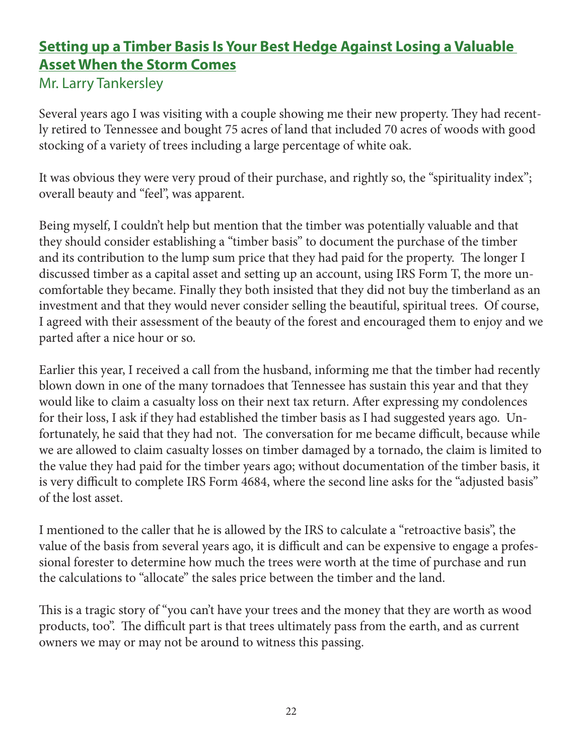# **Setting up a Timber Basis Is Your Best Hedge Against Losing a Valuable Asset When the Storm Comes**

### Mr. Larry Tankersley

Several years ago I was visiting with a couple showing me their new property. They had recently retired to Tennessee and bought 75 acres of land that included 70 acres of woods with good stocking of a variety of trees including a large percentage of white oak.

It was obvious they were very proud of their purchase, and rightly so, the "spirituality index"; overall beauty and "feel", was apparent.

Being myself, I couldn't help but mention that the timber was potentially valuable and that they should consider establishing a "timber basis" to document the purchase of the timber and its contribution to the lump sum price that they had paid for the property. The longer I discussed timber as a capital asset and setting up an account, using IRS Form T, the more uncomfortable they became. Finally they both insisted that they did not buy the timberland as an investment and that they would never consider selling the beautiful, spiritual trees. Of course, I agreed with their assessment of the beauty of the forest and encouraged them to enjoy and we parted after a nice hour or so.

Earlier this year, I received a call from the husband, informing me that the timber had recently blown down in one of the many tornadoes that Tennessee has sustain this year and that they would like to claim a casualty loss on their next tax return. After expressing my condolences for their loss, I ask if they had established the timber basis as I had suggested years ago. Unfortunately, he said that they had not. The conversation for me became difficult, because while we are allowed to claim casualty losses on timber damaged by a tornado, the claim is limited to the value they had paid for the timber years ago; without documentation of the timber basis, it is very difficult to complete IRS Form 4684, where the second line asks for the "adjusted basis" of the lost asset.

I mentioned to the caller that he is allowed by the IRS to calculate a "retroactive basis", the value of the basis from several years ago, it is difficult and can be expensive to engage a professional forester to determine how much the trees were worth at the time of purchase and run the calculations to "allocate" the sales price between the timber and the land.

This is a tragic story of "you can't have your trees and the money that they are worth as wood products, too". The difficult part is that trees ultimately pass from the earth, and as current owners we may or may not be around to witness this passing.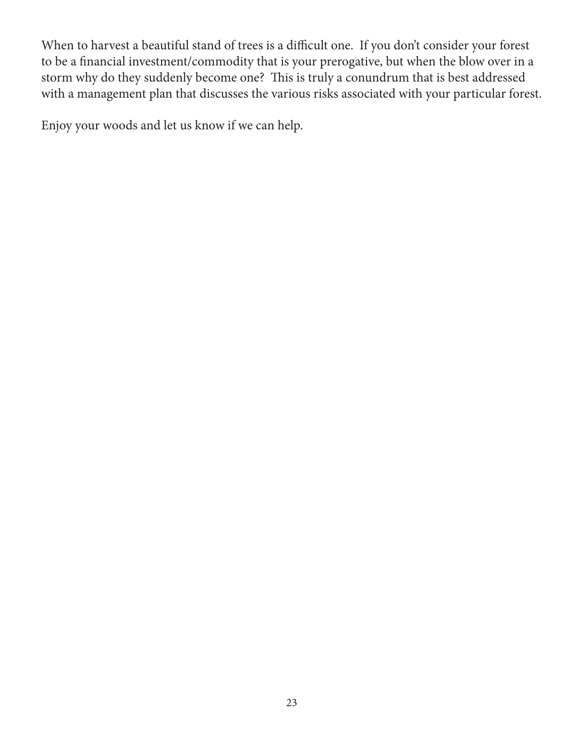When to harvest a beautiful stand of trees is a difficult one. If you don't consider your forest to be a financial investment/commodity that is your prerogative, but when the blow over in a storm why do they suddenly become one? This is truly a conundrum that is best addressed with a management plan that discusses the various risks associated with your particular forest.

Enjoy your woods and let us know if we can help.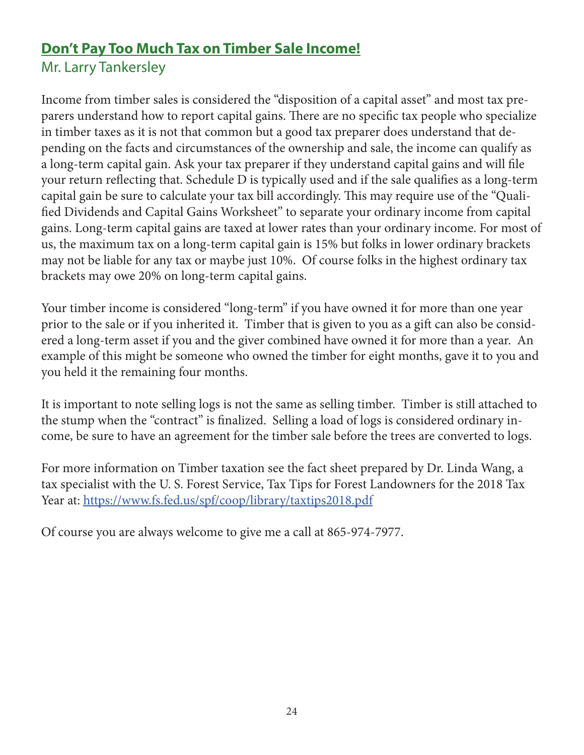# **Don't Pay Too Much Tax on Timber Sale Income!**

Mr. Larry Tankersley

Income from timber sales is considered the "disposition of a capital asset" and most tax preparers understand how to report capital gains. There are no specific tax people who specialize in timber taxes as it is not that common but a good tax preparer does understand that depending on the facts and circumstances of the ownership and sale, the income can qualify as a long-term capital gain. Ask your tax preparer if they understand capital gains and will file your return reflecting that. Schedule D is typically used and if the sale qualifies as a long-term capital gain be sure to calculate your tax bill accordingly. This may require use of the "Qualified Dividends and Capital Gains Worksheet" to separate your ordinary income from capital gains. Long-term capital gains are taxed at lower rates than your ordinary income. For most of us, the maximum tax on a long-term capital gain is 15% but folks in lower ordinary brackets may not be liable for any tax or maybe just 10%. Of course folks in the highest ordinary tax brackets may owe 20% on long-term capital gains.

Your timber income is considered "long-term" if you have owned it for more than one year prior to the sale or if you inherited it. Timber that is given to you as a gift can also be considered a long-term asset if you and the giver combined have owned it for more than a year. An example of this might be someone who owned the timber for eight months, gave it to you and you held it the remaining four months.

It is important to note selling logs is not the same as selling timber. Timber is still attached to the stump when the "contract" is finalized. Selling a load of logs is considered ordinary income, be sure to have an agreement for the timber sale before the trees are converted to logs.

For more information on Timber taxation see the fact sheet prepared by Dr. Linda Wang, a tax specialist with the U. S. Forest Service, Tax Tips for Forest Landowners for the 2018 Tax Year at:<https://www.fs.fed.us/spf/coop/library/taxtips2018.pdf>

Of course you are always welcome to give me a call at 865-974-7977.